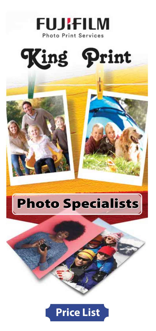



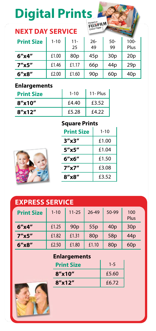## **Digital Prints**

#### **NEXT DAY SERVICE**

| <b>Print Size</b> | $1 - 10$ | $11 -$<br>25    | $26 -$<br>49    | $50 -$<br>99    | $100 -$<br>Plus |
|-------------------|----------|-----------------|-----------------|-----------------|-----------------|
| 6''x4''           | £1.00    | 80 <sub>D</sub> | 45p             | 30 <sub>p</sub> | 20p             |
| 7''x5''           | £1.46    | f1.17           | 66 <sub>p</sub> | 44 <sub>p</sub> | 29p             |
| $6''$ $x8''$      | £2.00    | £1.60           | 90 <sub>p</sub> | 60p             | 40 <sub>p</sub> |

#### **Enlargements**

| <b>Print Size</b> | $1 - 10$ | $11 -$ Plus |
|-------------------|----------|-------------|
| $8''$ x10"        | £4.40    | £3.52       |
| $8''$ x12"        | £5.28    | £4.22       |

#### **Square Prints**



| <b>Print Size</b> | $1 - 10$ |  |  |
|-------------------|----------|--|--|
| $3''$ x $3''$     | £1.00    |  |  |
| 5''x5''           | £1.04    |  |  |
| 6''x6''           | £1.50    |  |  |
| $7''$ x $7''$     | £3.08    |  |  |
| $8''$ x $8''$     | £3.52    |  |  |

| <b>EXPRESS SERVICE</b> |          |                 |                 |                 |                 |
|------------------------|----------|-----------------|-----------------|-----------------|-----------------|
| <b>Print Size</b>      | $1 - 10$ | $11 - 25$       | 26-49           | 50-99           | 100<br>Plus     |
| 6''x4''                | £1.25    | 90 <sub>p</sub> | 55p             | 40 <sub>p</sub> | 30 <sub>p</sub> |
| $7''$ x5"              | £1.82    | £1.31           | 80 <sub>p</sub> | 58p             | 44 <sub>p</sub> |
| $6''$ $x8''$           | £2.50    | £1.80           | £1.10           | 80 <sub>p</sub> | 60p             |

#### **Enlargements**

| <b>Print Size</b> | $1 - 5$ |
|-------------------|---------|
| $8''$ x10"        | £5.60   |
| 8''x12''          | £6.72   |

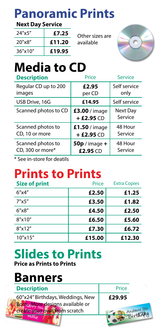### **Panoramic Prints**

#### **Next Day Service**

| 24"x5"  | £7.25  |
|---------|--------|
| 20"x8"  | £11.20 |
| 36"x10" | £19.95 |

Other sizes are available



#### **Media to CD**

| <b>Description</b>   | Price                        | Service             |
|----------------------|------------------------------|---------------------|
| Regular CD up to 200 | £2.95                        | Self service        |
| images               | per CD                       | only                |
| USB Drive, 16G       | £14.95                       | Self service        |
| Scanned photos to CD | £3.00 / image<br>$+£2.95 CD$ | Next Day<br>Service |
| Scanned photos to    | £1.50 / image                | 48 Hour             |
| CD, 10 or more       | $+£2.95CD$                   | Service             |
| Scanned photos to    | $50p$ / image +              | 48 Hour             |
| CD, 300 or more*     | £2.95 CD                     | Service             |

\* See in-store for deatils

#### **Prints to Prints**

| <b>Size of print</b> | Price  | <b>Extra Copies</b> |
|----------------------|--------|---------------------|
| $6''$ x4"            | £2.50  | £1.25               |
| 7''x5''              | £3.50  | £1.82               |
| $6''$ x $8''$        | £4.50  | £2.50               |
| $8''$ x10"           | £6.50  | £5.60               |
| 8''x12''             | £7.30  | £6.72               |
| 10''x15''            | £15.00 | £12.30              |

## **Slides to Prints**

**Price as Prints to Prints**

#### **Banners**

| <b>Description</b>               | Price  |  |
|----------------------------------|--------|--|
| 60"x24" Birthdays, Weddings, New | £29.95 |  |
| Born, More designs available or  |        |  |
| create your own from scratch     |        |  |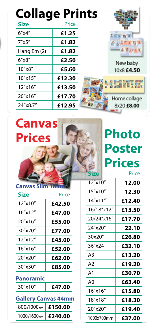#### **Collage Prints**

| <b>Size</b> | Price  |              |
|-------------|--------|--------------|
| 6''x4''     | £1.25  |              |
| 7''x5''     | £1.82  |              |
| Hang Em (2) | £1.82  |              |
| 6''x8''     | £2.50  | New baby     |
| 10''x8''    | £5.60  | 10x8 £4.50   |
| 10''x15''   | £12.30 |              |
| 12"x16"     | £13.50 |              |
| 20"x16"     | £17.70 | Home collage |
| 24"x8.7"    | £12.95 | 8x20 £8.00   |

# **Canvas Prices**

## **Photo Poster Prices**

**STAR** 

**Size** Price

| <b>Canvas Slim 18h</b>     |         |  |  |
|----------------------------|---------|--|--|
| Size                       | Price   |  |  |
| 12"x10"                    | £42.50  |  |  |
| 16"x12"                    | £47.00  |  |  |
| 20"x16"                    | £55.00  |  |  |
| 30″x20″                    | £77.00  |  |  |
| 12"x12"                    | £45.00  |  |  |
| 16″x16″                    | £52.00  |  |  |
| 20"x20"                    | £62.00  |  |  |
| 30"x30"                    | £85.00  |  |  |
| Panoramic                  |         |  |  |
| 30''x10''                  | £47.00  |  |  |
| <b>Gallery Canvas 44mm</b> |         |  |  |
| $800_x1000_{mm}$           | £150.00 |  |  |
|                            |         |  |  |

1000x1600mm **£240.00**

| 12"x10"    | 12.00  |
|------------|--------|
| 15"x10"    | 12.30  |
| 14"x11""   | £12.40 |
| 16/18"x12" | £13.50 |
| 20/24"x16" | £17.70 |
| 24″x20″    | 22.10  |
| 30x20"     | £26.80 |
| 36"x24     | £32.10 |
| A3         | £13.20 |
| A2         | £19.20 |
| A1         | £30.70 |
| A٥         | £63.40 |
| 16″x16″    | £15.80 |
| 18″x18″    | £18.30 |
| 20"x20"    | £19.40 |
| 1000x700mm | £37.00 |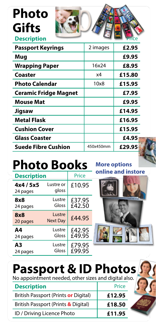#### **Photo Gifts Description**



| <b>Passport Keyrings</b>     | 2 images  | £2.95  |
|------------------------------|-----------|--------|
| Mug                          |           | £9.95  |
| <b>Wrapping Paper</b>        | 16x24     | £8.95  |
| Coaster                      | x4        | £15.80 |
| Photo Calendar               | 10x8      | £15.95 |
| <b>Ceramic Fridge Magnet</b> |           | £7.95  |
| <b>Mouse Mat</b>             |           | £9.95  |
| Jigsaw                       |           | £14.95 |
| <b>Metal Flask</b>           |           | £16.95 |
| <b>Cushion Cover</b>         |           | £15.95 |
| <b>Glass Coaster</b>         |           | £4.95  |
| <b>Suede Fibre Cushion</b>   | 450x450mm | £29.95 |
|                              |           |        |

## **Photo Books**

| <b>Description</b>    |                           | Price  |
|-----------------------|---------------------------|--------|
| 4x4 / 5x5<br>24 pages | Lustre or<br>gloss        | £10.95 |
| 8x8                   | Lustre                    | £37.95 |
| 24 pages              | Gloss                     | £42.50 |
| 8x8<br>20 pages       | Lustre<br><b>Next Day</b> | £44.95 |
| Α4                    | Lustre                    | £42.95 |
| 24 pages              | Gloss                     | £49.95 |
| Α3                    | Lustre                    | £79.95 |
| 24 pages              | Gloss                     | £99.95 |

**More options online and instore**



## **Passport & ID Photos**

No appointment needed, other sizes and digital also.

| <b>Description</b>                   | Price  |
|--------------------------------------|--------|
| British Passport (Prints or Digital) | £12.95 |
| British Passport (Prints & Digital)  | £18.50 |
| ID / Driving Licence Photo           | £11.95 |